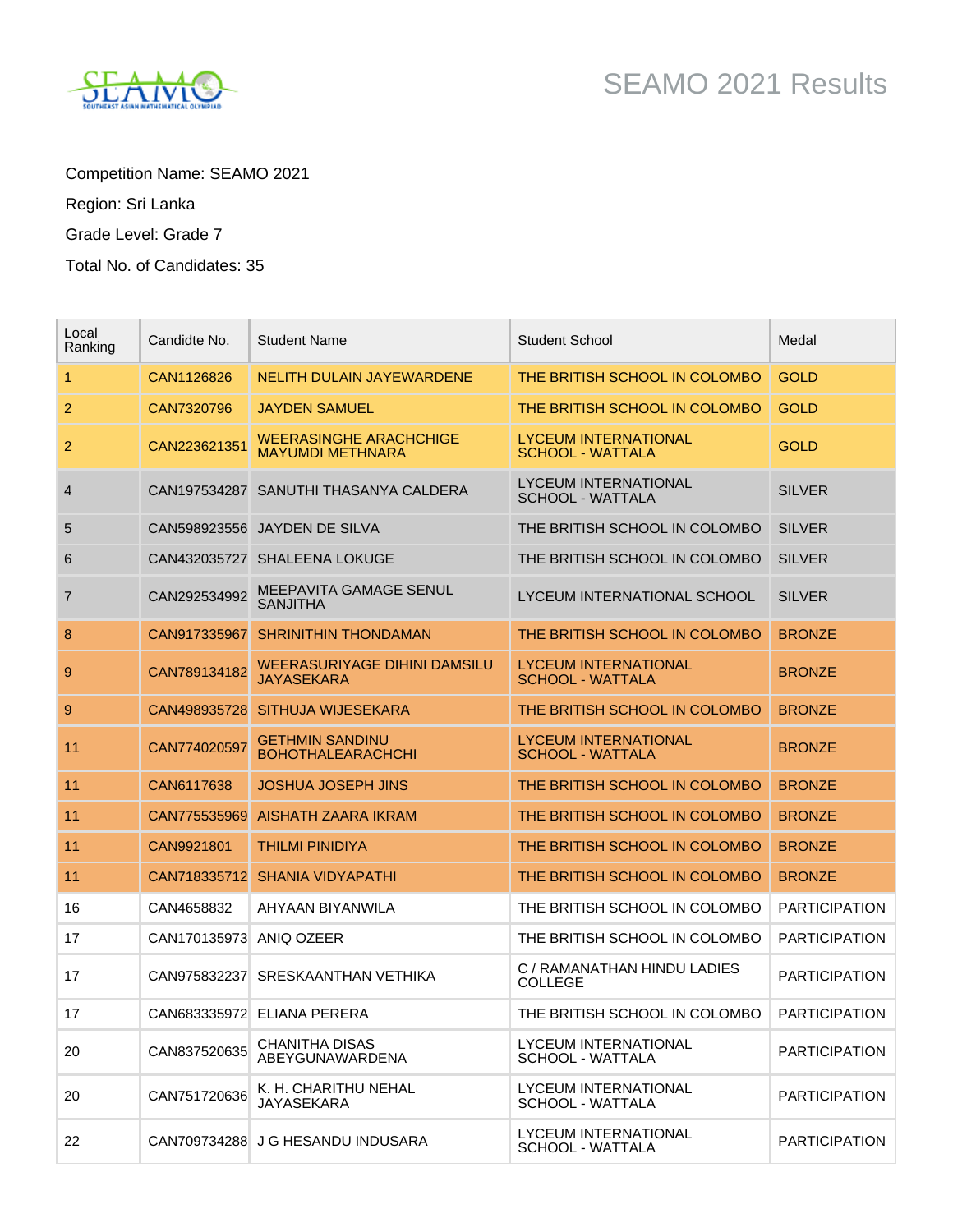Competition Name: SEAMO 2021

Region: Sri Lanka

Grade Level: Grade 7

Total No. of Candidates: 35

| Local<br>Ranking | Candidte No.            | <b>Student Name</b>                                      | <b>Student School</b>                                  | Medal                |
|------------------|-------------------------|----------------------------------------------------------|--------------------------------------------------------|----------------------|
| 1                | CAN1126826              | <b>NELITH DULAIN JAYEWARDENE</b>                         | THE BRITISH SCHOOL IN COLOMBO                          | <b>GOLD</b>          |
| 2                | CAN7320796              | <b>JAYDEN SAMUEL</b>                                     | THE BRITISH SCHOOL IN COLOMBO                          | <b>GOLD</b>          |
| 2                | CAN223621351            | <b>WEERASINGHE ARACHCHIGE</b><br><b>MAYUMDI METHNARA</b> | LYCEUM INTERNATIONAL<br>SCHOOL - WATTALA               | <b>GOLD</b>          |
| 4                |                         | CAN197534287 SANUTHI THASANYA CALDERA                    | LYCEUM INTERNATIONAL<br><b>SCHOOL - WATTALA</b>        | <b>SILVER</b>        |
| 5                |                         | CAN598923556 JAYDEN DE SILVA                             | THE BRITISH SCHOOL IN COLOMBO                          | <b>SILVER</b>        |
| 6                |                         | CAN432035727 SHALEENA LOKUGE                             | THE BRITISH SCHOOL IN COLOMBO                          | <b>SILVER</b>        |
| 7                | CAN292534992            | MEEPAVITA GAMAGE SENUL<br><b>SANJITHA</b>                | LYCEUM INTERNATIONAL SCHOOL                            | <b>SILVER</b>        |
| 8                | CAN917335967            | <b>SHRINITHIN THONDAMAN</b>                              | THE BRITISH SCHOOL IN COLOMBO                          | <b>BRONZE</b>        |
| 9                | CAN789134182            | <b>WEERASURIYAGE DIHINI DAMSILU</b><br><b>JAYASEKARA</b> | <b>LYCEUM INTERNATIONAL</b><br><b>SCHOOL - WATTALA</b> | <b>BRONZE</b>        |
| 9                | CAN498935728            | SITHUJA WIJESEKARA                                       | THE BRITISH SCHOOL IN COLOMBO                          | <b>BRONZE</b>        |
| 11               | CAN774020597            | <b>GETHMIN SANDINU</b><br><b>BOHOTHALEARACHCHI</b>       | LYCEUM INTERNATIONAL<br><b>SCHOOL - WATTALA</b>        | <b>BRONZE</b>        |
| 11               | CAN6117638              | <b>JOSHUA JOSEPH JINS</b>                                | THE BRITISH SCHOOL IN COLOMBO                          | <b>BRONZE</b>        |
| 11               | CAN775535969            | AISHATH ZAARA IKRAM                                      | THE BRITISH SCHOOL IN COLOMBO                          | <b>BRONZE</b>        |
| 11               | CAN9921801              | <b>THILMI PINIDIYA</b>                                   | THE BRITISH SCHOOL IN COLOMBO                          | <b>BRONZE</b>        |
| 11               |                         | CAN718335712 SHANIA VIDYAPATHI                           | THE BRITISH SCHOOL IN COLOMBO                          | <b>BRONZE</b>        |
| 16               | CAN4658832              | AHYAAN BIYANWILA                                         | THE BRITISH SCHOOL IN COLOMBO                          | <b>PARTICIPATION</b> |
| 17               | CAN170135973 ANIQ OZEER |                                                          | THE BRITISH SCHOOL IN COLOMBO                          | <b>PARTICIPATION</b> |
| 17               |                         | CAN975832237 SRESKAANTHAN VETHIKA                        | C / RAMANATHAN HINDU LADIES<br><b>COLLEGE</b>          | <b>PARTICIPATION</b> |
| 17               |                         | CAN683335972 ELIANA PERERA                               | THE BRITISH SCHOOL IN COLOMBO                          | <b>PARTICIPATION</b> |
| 20               | CAN837520635            | <b>CHANITHA DISAS</b><br>ABEYGUNAWARDENA                 | LYCEUM INTERNATIONAL<br>SCHOOL - WATTALA               | <b>PARTICIPATION</b> |
| 20               | CAN751720636            | K. H. CHARITHU NEHAL<br><b>JAYASEKARA</b>                | LYCEUM INTERNATIONAL<br><b>SCHOOL - WATTALA</b>        | <b>PARTICIPATION</b> |
| 22               |                         | CAN709734288 J G HESANDU INDUSARA                        | <b>LYCEUM INTERNATIONAL</b><br>SCHOOL - WATTALA        | <b>PARTICIPATION</b> |